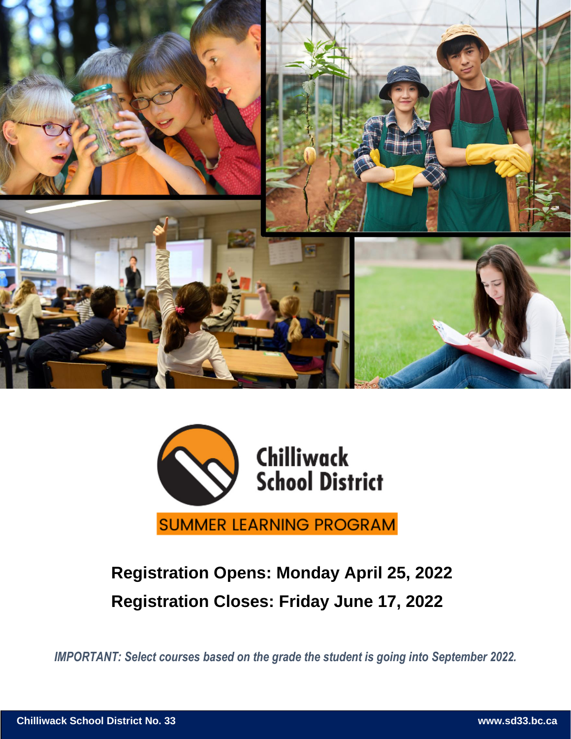



### **Registration Opens: Monday April 25, 2022 Registration Closes: Friday June 17, 2022**

*IMPORTANT: Select courses based on the grade the student is going into September 2022.*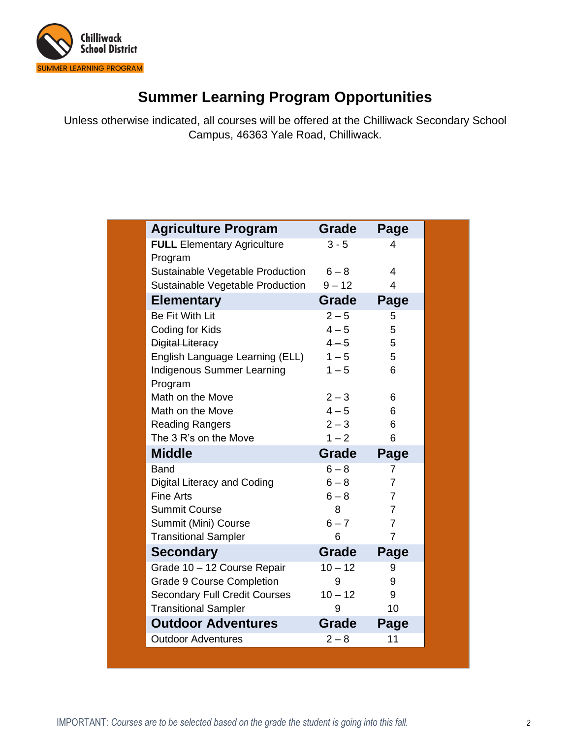

### **Summer Learning Program Opportunities**

Unless otherwise indicated, all courses will be offered at the Chilliwack Secondary School Campus, 46363 Yale Road, Chilliwack.

| <b>Agriculture Program</b>           | Grade        | Page           |
|--------------------------------------|--------------|----------------|
| <b>FULL</b> Elementary Agriculture   | $3 - 5$      | 4              |
| Program                              |              |                |
| Sustainable Vegetable Production     | $6 - 8$      | 4              |
| Sustainable Vegetable Production     | $9 - 12$     | $\overline{4}$ |
| <b>Elementary</b>                    | Grade        | Page           |
| <b>Be Fit With Lit</b>               | $2 - 5$      | 5              |
| Coding for Kids                      | $4 - 5$      | 5              |
| <b>Digital Literacy</b>              | $4 - 5$      | 5              |
| English Language Learning (ELL)      | $1 - 5$      | 5              |
| <b>Indigenous Summer Learning</b>    | $1 - 5$      | 6              |
| Program                              |              |                |
| Math on the Move                     | $2 - 3$      | 6              |
| Math on the Move                     | $4 - 5$      | 6              |
| <b>Reading Rangers</b>               | $2 - 3$      | 6              |
| The 3 R's on the Move                | $1 - 2$      | 6              |
| <b>Middle</b>                        | <b>Grade</b> | Page           |
| Band                                 | $6 - 8$      | 7              |
| Digital Literacy and Coding          | $6 - 8$      | $\overline{7}$ |
| <b>Fine Arts</b>                     | $6 - 8$      | $\overline{7}$ |
| <b>Summit Course</b>                 | 8            | $\overline{7}$ |
| Summit (Mini) Course                 | $6 - 7$      | $\overline{7}$ |
| <b>Transitional Sampler</b>          | 6            | 7              |
| <b>Secondary</b>                     | Grade        | Page           |
|                                      |              |                |
| Grade 10 - 12 Course Repair          | $10 - 12$    | 9              |
| <b>Grade 9 Course Completion</b>     | 9            | 9              |
| <b>Secondary Full Credit Courses</b> | $10 - 12$    | 9              |
| <b>Transitional Sampler</b>          | 9            | 10             |
| <b>Outdoor Adventures</b>            | <b>Grade</b> | Page           |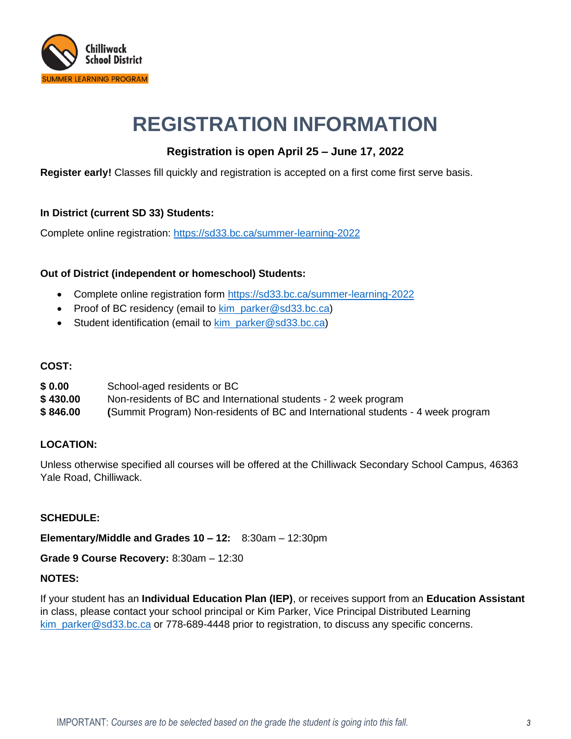

## **REGISTRATION INFORMATION**

### **Registration is open April 25 – June 17, 2022**

**Register early!** Classes fill quickly and registration is accepted on a first come first serve basis.

#### **In District (current SD 33) Students:**

Complete online registration: <https://sd33.bc.ca/summer-learning-2022>

#### **Out of District (independent or homeschool) Students:**

- Complete online registration form<https://sd33.bc.ca/summer-learning-2022>
- Proof of BC residency (email to kim parker@sd33.bc.ca)
- Student identification (email to [kim\\_parker@sd33.bc.ca\)](mailto:kim_parker@sd33.bc.ca)

#### **COST:**

| \$0.00   | School-aged residents or BC                                                      |
|----------|----------------------------------------------------------------------------------|
| \$430.00 | Non-residents of BC and International students - 2 week program                  |
| \$846.00 | (Summit Program) Non-residents of BC and International students - 4 week program |

#### **LOCATION:**

Unless otherwise specified all courses will be offered at the Chilliwack Secondary School Campus, 46363 Yale Road, Chilliwack.

#### **SCHEDULE:**

**Elementary/Middle and Grades 10 – 12:** 8:30am – 12:30pm

**Grade 9 Course Recovery:** 8:30am – 12:30

#### **NOTES:**

If your student has an **Individual Education Plan (IEP)**, or receives support from an **Education Assistant** in class, please contact your school principal or Kim Parker, Vice Principal Distributed Learning [kim\\_parker@sd33.bc.ca](mailto:kim_parker@sd33.bc.ca) or 778-689-4448 prior to registration, to discuss any specific concerns.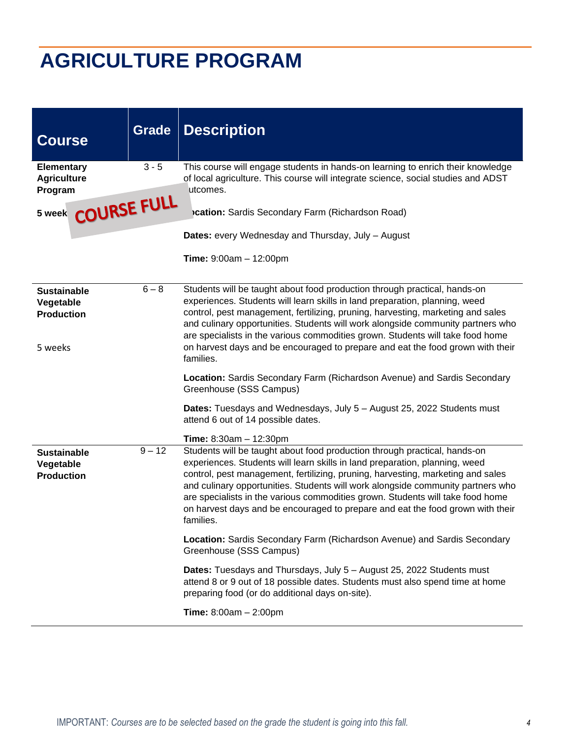# **AGRICULTURE PROGRAM**

| <b>Course</b>                                                   | <b>Grade</b> | <b>Description</b>                                                                                                                                                                                                                                                                                                                                                                                                                                                                                                                                 |
|-----------------------------------------------------------------|--------------|----------------------------------------------------------------------------------------------------------------------------------------------------------------------------------------------------------------------------------------------------------------------------------------------------------------------------------------------------------------------------------------------------------------------------------------------------------------------------------------------------------------------------------------------------|
| <b>Elementary</b><br><b>Agriculture</b><br>Program              | $3 - 5$      | This course will engage students in hands-on learning to enrich their knowledge<br>of local agriculture. This course will integrate science, social studies and ADST<br>utcomes.                                                                                                                                                                                                                                                                                                                                                                   |
| 5 week COURSE FULL                                              |              | cation: Sardis Secondary Farm (Richardson Road)                                                                                                                                                                                                                                                                                                                                                                                                                                                                                                    |
|                                                                 |              | <b>Dates:</b> every Wednesday and Thursday, July - August                                                                                                                                                                                                                                                                                                                                                                                                                                                                                          |
|                                                                 |              | <b>Time:</b> $9:00am - 12:00pm$                                                                                                                                                                                                                                                                                                                                                                                                                                                                                                                    |
| <b>Sustainable</b><br>Vegetable<br><b>Production</b><br>5 weeks | $6 - 8$      | Students will be taught about food production through practical, hands-on<br>experiences. Students will learn skills in land preparation, planning, weed<br>control, pest management, fertilizing, pruning, harvesting, marketing and sales<br>and culinary opportunities. Students will work alongside community partners who<br>are specialists in the various commodities grown. Students will take food home<br>on harvest days and be encouraged to prepare and eat the food grown with their<br>families.                                    |
|                                                                 |              | Location: Sardis Secondary Farm (Richardson Avenue) and Sardis Secondary<br>Greenhouse (SSS Campus)                                                                                                                                                                                                                                                                                                                                                                                                                                                |
|                                                                 |              | <b>Dates:</b> Tuesdays and Wednesdays, July 5 - August 25, 2022 Students must<br>attend 6 out of 14 possible dates.                                                                                                                                                                                                                                                                                                                                                                                                                                |
| <b>Sustainable</b><br>Vegetable<br><b>Production</b>            | $9 - 12$     | <b>Time:</b> $8:30am - 12:30pm$<br>Students will be taught about food production through practical, hands-on<br>experiences. Students will learn skills in land preparation, planning, weed<br>control, pest management, fertilizing, pruning, harvesting, marketing and sales<br>and culinary opportunities. Students will work alongside community partners who<br>are specialists in the various commodities grown. Students will take food home<br>on harvest days and be encouraged to prepare and eat the food grown with their<br>families. |
|                                                                 |              | Location: Sardis Secondary Farm (Richardson Avenue) and Sardis Secondary<br>Greenhouse (SSS Campus)                                                                                                                                                                                                                                                                                                                                                                                                                                                |
|                                                                 |              | <b>Dates:</b> Tuesdays and Thursdays, July 5 – August 25, 2022 Students must<br>attend 8 or 9 out of 18 possible dates. Students must also spend time at home<br>preparing food (or do additional days on-site).                                                                                                                                                                                                                                                                                                                                   |
|                                                                 |              | <b>Time:</b> $8:00am - 2:00pm$                                                                                                                                                                                                                                                                                                                                                                                                                                                                                                                     |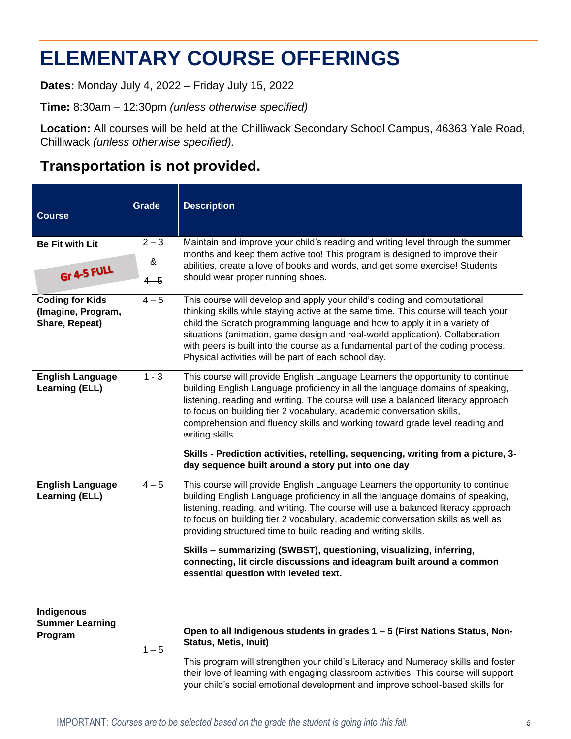## **ELEMENTARY COURSE OFFERINGS**

**Dates:** Monday July 4, 2022 – Friday July 15, 2022

**Time:** 8:30am – 12:30pm *(unless otherwise specified)*

**Location:** All courses will be held at the Chilliwack Secondary School Campus, 46363 Yale Road, Chilliwack *(unless otherwise specified).*

### **Transportation is not provided.**

| <b>Course</b>                                                  | <b>Grade</b> | <b>Description</b>                                                                                                                                                                                                                                                                                                                                                                                                                                                                                                                                                         |
|----------------------------------------------------------------|--------------|----------------------------------------------------------------------------------------------------------------------------------------------------------------------------------------------------------------------------------------------------------------------------------------------------------------------------------------------------------------------------------------------------------------------------------------------------------------------------------------------------------------------------------------------------------------------------|
| <b>Be Fit with Lit</b>                                         | $2 - 3$      | Maintain and improve your child's reading and writing level through the summer                                                                                                                                                                                                                                                                                                                                                                                                                                                                                             |
| Gr 4-5 FULL                                                    | &<br>$4 - 5$ | months and keep them active too! This program is designed to improve their<br>abilities, create a love of books and words, and get some exercise! Students<br>should wear proper running shoes.                                                                                                                                                                                                                                                                                                                                                                            |
| <b>Coding for Kids</b><br>(Imagine, Program,<br>Share, Repeat) | $4 - 5$      | This course will develop and apply your child's coding and computational<br>thinking skills while staying active at the same time. This course will teach your<br>child the Scratch programming language and how to apply it in a variety of<br>situations (animation, game design and real-world application). Collaboration<br>with peers is built into the course as a fundamental part of the coding process.<br>Physical activities will be part of each school day.                                                                                                  |
| <b>English Language</b><br><b>Learning (ELL)</b>               | $1 - 3$      | This course will provide English Language Learners the opportunity to continue<br>building English Language proficiency in all the language domains of speaking,<br>listening, reading and writing. The course will use a balanced literacy approach<br>to focus on building tier 2 vocabulary, academic conversation skills,<br>comprehension and fluency skills and working toward grade level reading and<br>writing skills.<br>Skills - Prediction activities, retelling, sequencing, writing from a picture, 3-<br>day sequence built around a story put into one day |
| <b>English Language</b><br><b>Learning (ELL)</b>               | $4 - 5$      | This course will provide English Language Learners the opportunity to continue<br>building English Language proficiency in all the language domains of speaking,<br>listening, reading, and writing. The course will use a balanced literacy approach<br>to focus on building tier 2 vocabulary, academic conversation skills as well as<br>providing structured time to build reading and writing skills.<br>Skills - summarizing (SWBST), questioning, visualizing, inferring,<br>connecting, lit circle discussions and ideagram built around a common                  |
| Indigenous<br><b>Summer Learning</b><br>Program                | $1 - 5$      | essential question with leveled text.<br>Open to all Indigenous students in grades 1 - 5 (First Nations Status, Non-<br><b>Status, Metis, Inuit)</b><br>This program will strengthen your child's Literacy and Numeracy skills and foster<br>their love of learning with engaging classroom activities. This course will support<br>your child's social emotional development and improve school-based skills for                                                                                                                                                          |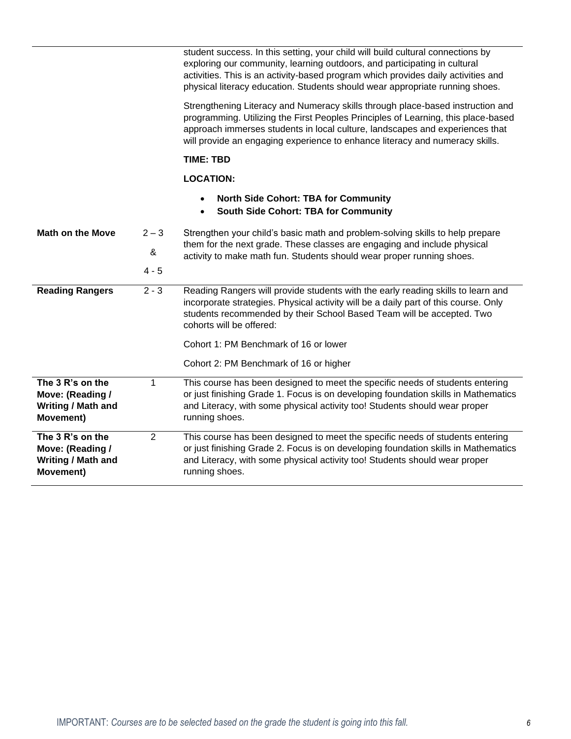|                                                                                |                | student success. In this setting, your child will build cultural connections by<br>exploring our community, learning outdoors, and participating in cultural<br>activities. This is an activity-based program which provides daily activities and<br>physical literacy education. Students should wear appropriate running shoes.   |
|--------------------------------------------------------------------------------|----------------|-------------------------------------------------------------------------------------------------------------------------------------------------------------------------------------------------------------------------------------------------------------------------------------------------------------------------------------|
|                                                                                |                | Strengthening Literacy and Numeracy skills through place-based instruction and<br>programming. Utilizing the First Peoples Principles of Learning, this place-based<br>approach immerses students in local culture, landscapes and experiences that<br>will provide an engaging experience to enhance literacy and numeracy skills. |
|                                                                                |                | <b>TIME: TBD</b>                                                                                                                                                                                                                                                                                                                    |
|                                                                                |                | <b>LOCATION:</b>                                                                                                                                                                                                                                                                                                                    |
|                                                                                |                | <b>North Side Cohort: TBA for Community</b><br><b>South Side Cohort: TBA for Community</b><br>$\bullet$                                                                                                                                                                                                                             |
| <b>Math on the Move</b>                                                        | $2 - 3$        | Strengthen your child's basic math and problem-solving skills to help prepare                                                                                                                                                                                                                                                       |
|                                                                                | &              | them for the next grade. These classes are engaging and include physical<br>activity to make math fun. Students should wear proper running shoes.                                                                                                                                                                                   |
|                                                                                | $4 - 5$        |                                                                                                                                                                                                                                                                                                                                     |
| <b>Reading Rangers</b>                                                         | $2 - 3$        | Reading Rangers will provide students with the early reading skills to learn and<br>incorporate strategies. Physical activity will be a daily part of this course. Only<br>students recommended by their School Based Team will be accepted. Two<br>cohorts will be offered:                                                        |
|                                                                                |                | Cohort 1: PM Benchmark of 16 or lower                                                                                                                                                                                                                                                                                               |
|                                                                                |                | Cohort 2: PM Benchmark of 16 or higher                                                                                                                                                                                                                                                                                              |
| The 3 R's on the<br>Move: (Reading /<br>Writing / Math and<br><b>Movement)</b> | 1              | This course has been designed to meet the specific needs of students entering<br>or just finishing Grade 1. Focus is on developing foundation skills in Mathematics<br>and Literacy, with some physical activity too! Students should wear proper<br>running shoes.                                                                 |
| The 3 R's on the<br>Move: (Reading /<br>Writing / Math and<br>Movement)        | $\overline{2}$ | This course has been designed to meet the specific needs of students entering<br>or just finishing Grade 2. Focus is on developing foundation skills in Mathematics<br>and Literacy, with some physical activity too! Students should wear proper<br>running shoes.                                                                 |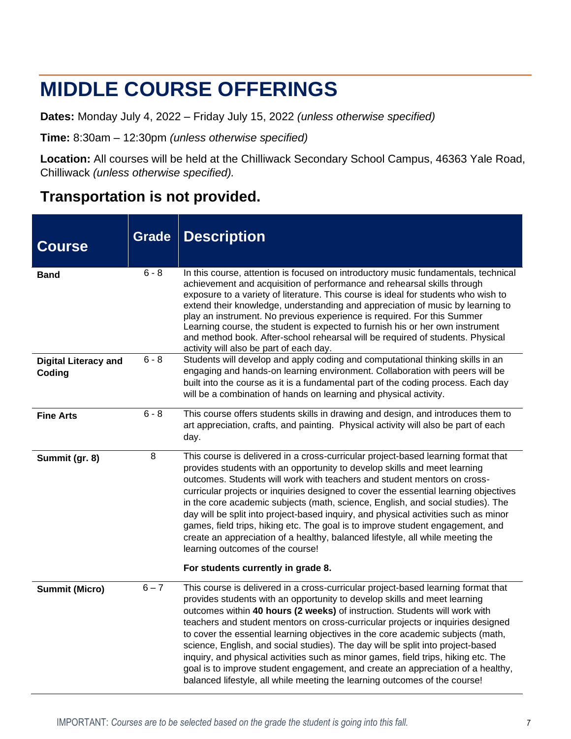## **MIDDLE COURSE OFFERINGS**

**Dates:** Monday July 4, 2022 – Friday July 15, 2022 *(unless otherwise specified)*

**Time:** 8:30am – 12:30pm *(unless otherwise specified)*

**Location:** All courses will be held at the Chilliwack Secondary School Campus, 46363 Yale Road, Chilliwack *(unless otherwise specified).*

### **Transportation is not provided.**

| <b>Course</b>                         | <b>Grade</b> | <b>Description</b>                                                                                                                                                                                                                                                                                                                                                                                                                                                                                                                                                                                                                                                                                                                                           |
|---------------------------------------|--------------|--------------------------------------------------------------------------------------------------------------------------------------------------------------------------------------------------------------------------------------------------------------------------------------------------------------------------------------------------------------------------------------------------------------------------------------------------------------------------------------------------------------------------------------------------------------------------------------------------------------------------------------------------------------------------------------------------------------------------------------------------------------|
| <b>Band</b>                           | $6 - 8$      | In this course, attention is focused on introductory music fundamentals, technical<br>achievement and acquisition of performance and rehearsal skills through<br>exposure to a variety of literature. This course is ideal for students who wish to<br>extend their knowledge, understanding and appreciation of music by learning to<br>play an instrument. No previous experience is required. For this Summer<br>Learning course, the student is expected to furnish his or her own instrument<br>and method book. After-school rehearsal will be required of students. Physical<br>activity will also be part of each day.                                                                                                                               |
| <b>Digital Literacy and</b><br>Coding | $6 - 8$      | Students will develop and apply coding and computational thinking skills in an<br>engaging and hands-on learning environment. Collaboration with peers will be<br>built into the course as it is a fundamental part of the coding process. Each day<br>will be a combination of hands on learning and physical activity.                                                                                                                                                                                                                                                                                                                                                                                                                                     |
| <b>Fine Arts</b>                      | $6 - 8$      | This course offers students skills in drawing and design, and introduces them to<br>art appreciation, crafts, and painting. Physical activity will also be part of each<br>day.                                                                                                                                                                                                                                                                                                                                                                                                                                                                                                                                                                              |
| Summit (gr. 8)                        | 8            | This course is delivered in a cross-curricular project-based learning format that<br>provides students with an opportunity to develop skills and meet learning<br>outcomes. Students will work with teachers and student mentors on cross-<br>curricular projects or inquiries designed to cover the essential learning objectives<br>in the core academic subjects (math, science, English, and social studies). The<br>day will be split into project-based inquiry, and physical activities such as minor<br>games, field trips, hiking etc. The goal is to improve student engagement, and<br>create an appreciation of a healthy, balanced lifestyle, all while meeting the<br>learning outcomes of the course!<br>For students currently in grade 8.   |
| <b>Summit (Micro)</b>                 | $6 - 7$      | This course is delivered in a cross-curricular project-based learning format that<br>provides students with an opportunity to develop skills and meet learning<br>outcomes within 40 hours (2 weeks) of instruction. Students will work with<br>teachers and student mentors on cross-curricular projects or inquiries designed<br>to cover the essential learning objectives in the core academic subjects (math,<br>science, English, and social studies). The day will be split into project-based<br>inquiry, and physical activities such as minor games, field trips, hiking etc. The<br>goal is to improve student engagement, and create an appreciation of a healthy,<br>balanced lifestyle, all while meeting the learning outcomes of the course! |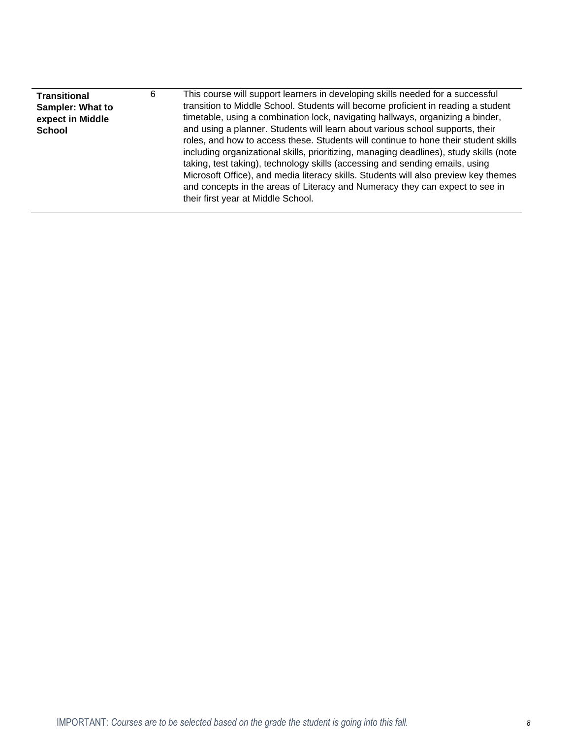| and concepts in the areas of Literacy and Numeracy they can expect to see in<br>their first year at Middle School. | expect in Middle<br>and using a planner. Students will learn about various school supports, their<br>School<br>roles, and how to access these. Students will continue to hone their student skills<br>including organizational skills, prioritizing, managing deadlines), study skills (note<br>taking, test taking), technology skills (accessing and sending emails, using<br>Microsoft Office), and media literacy skills. Students will also preview key themes | This course will support learners in developing skills needed for a successful<br>6<br><b>Transitional</b><br>transition to Middle School. Students will become proficient in reading a student<br><b>Sampler: What to</b><br>timetable, using a combination lock, navigating hallways, organizing a binder, |
|--------------------------------------------------------------------------------------------------------------------|---------------------------------------------------------------------------------------------------------------------------------------------------------------------------------------------------------------------------------------------------------------------------------------------------------------------------------------------------------------------------------------------------------------------------------------------------------------------|--------------------------------------------------------------------------------------------------------------------------------------------------------------------------------------------------------------------------------------------------------------------------------------------------------------|
|--------------------------------------------------------------------------------------------------------------------|---------------------------------------------------------------------------------------------------------------------------------------------------------------------------------------------------------------------------------------------------------------------------------------------------------------------------------------------------------------------------------------------------------------------------------------------------------------------|--------------------------------------------------------------------------------------------------------------------------------------------------------------------------------------------------------------------------------------------------------------------------------------------------------------|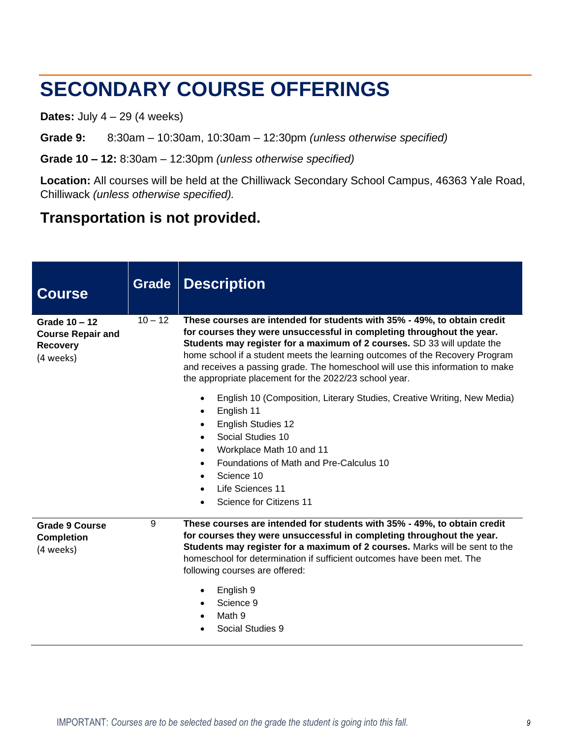## **SECONDARY COURSE OFFERINGS**

**Dates:** July 4 – 29 (4 weeks)

**Grade 9:** 8:30am – 10:30am, 10:30am – 12:30pm *(unless otherwise specified)*

**Grade 10 – 12:** 8:30am – 12:30pm *(unless otherwise specified)*

**Location:** All courses will be held at the Chilliwack Secondary School Campus, 46363 Yale Road, Chilliwack *(unless otherwise specified).*

### **Transportation is not provided.**

| <b>Course</b>                                                             | Grade     | <b>Description</b>                                                                                                                                                                                                                                                                                                                                                                                                                                       |
|---------------------------------------------------------------------------|-----------|----------------------------------------------------------------------------------------------------------------------------------------------------------------------------------------------------------------------------------------------------------------------------------------------------------------------------------------------------------------------------------------------------------------------------------------------------------|
| Grade 10 - 12<br><b>Course Repair and</b><br><b>Recovery</b><br>(4 weeks) | $10 - 12$ | These courses are intended for students with 35% - 49%, to obtain credit<br>for courses they were unsuccessful in completing throughout the year.<br>Students may register for a maximum of 2 courses. SD 33 will update the<br>home school if a student meets the learning outcomes of the Recovery Program<br>and receives a passing grade. The homeschool will use this information to make<br>the appropriate placement for the 2022/23 school year. |
|                                                                           |           | English 10 (Composition, Literary Studies, Creative Writing, New Media)<br>English 11<br>$\bullet$<br><b>English Studies 12</b><br>Social Studies 10<br>$\bullet$<br>Workplace Math 10 and 11<br>Foundations of Math and Pre-Calculus 10<br>$\bullet$<br>Science 10<br>$\bullet$<br>Life Sciences 11<br>$\bullet$<br>Science for Citizens 11                                                                                                             |
| <b>Grade 9 Course</b><br><b>Completion</b><br>(4 weeks)                   | 9         | These courses are intended for students with 35% - 49%, to obtain credit<br>for courses they were unsuccessful in completing throughout the year.<br>Students may register for a maximum of 2 courses. Marks will be sent to the<br>homeschool for determination if sufficient outcomes have been met. The<br>following courses are offered:<br>English 9<br>Science 9<br>Math 9<br>Social Studies 9                                                     |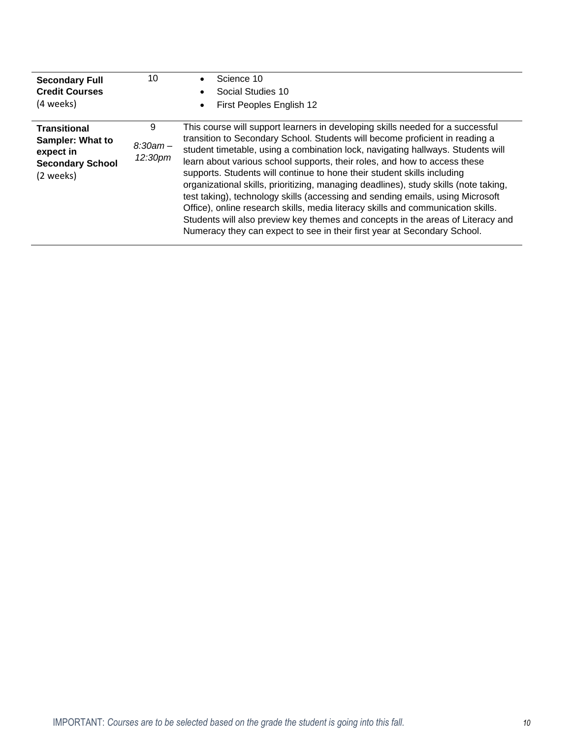| <b>Secondary Full</b><br><b>Credit Courses</b><br>(4 weeks)                                  | 10                         | Science 10<br>Social Studies 10<br>First Peoples English 12                                                                                                                                                                                                                                                                                                                                                                                                                                                                                                                                                                                                                                                                                                                                                                            |
|----------------------------------------------------------------------------------------------|----------------------------|----------------------------------------------------------------------------------------------------------------------------------------------------------------------------------------------------------------------------------------------------------------------------------------------------------------------------------------------------------------------------------------------------------------------------------------------------------------------------------------------------------------------------------------------------------------------------------------------------------------------------------------------------------------------------------------------------------------------------------------------------------------------------------------------------------------------------------------|
| <b>Transitional</b><br>Sampler: What to<br>expect in<br><b>Secondary School</b><br>(2 weeks) | 9<br>$8:30am -$<br>12:30pm | This course will support learners in developing skills needed for a successful<br>transition to Secondary School. Students will become proficient in reading a<br>student timetable, using a combination lock, navigating hallways. Students will<br>learn about various school supports, their roles, and how to access these<br>supports. Students will continue to hone their student skills including<br>organizational skills, prioritizing, managing deadlines), study skills (note taking,<br>test taking), technology skills (accessing and sending emails, using Microsoft<br>Office), online research skills, media literacy skills and communication skills.<br>Students will also preview key themes and concepts in the areas of Literacy and<br>Numeracy they can expect to see in their first year at Secondary School. |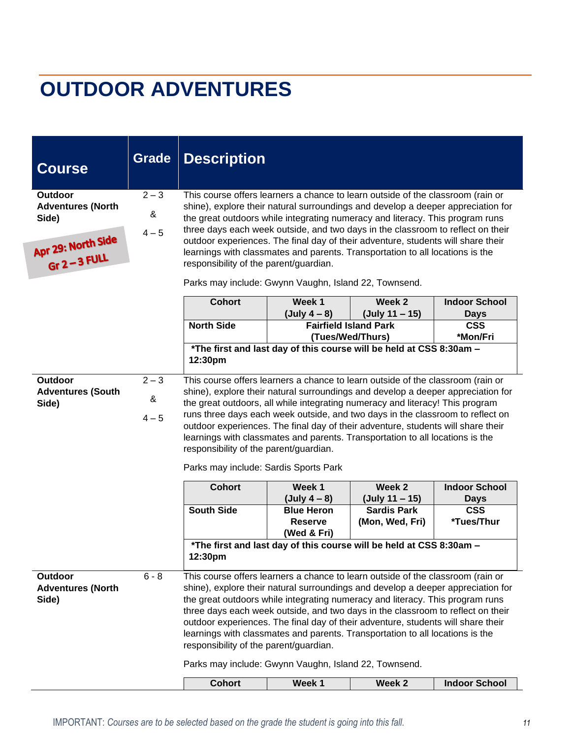# **OUTDOOR ADVENTURES**

| <b>Course</b>                                                                                | <b>Grade</b>            | <b>Description</b>                                                                                                                                                                                                                                                                                                                                                                                                                                                                                                                                                                                              |                                                                      |                                                                                                                                |                                         |
|----------------------------------------------------------------------------------------------|-------------------------|-----------------------------------------------------------------------------------------------------------------------------------------------------------------------------------------------------------------------------------------------------------------------------------------------------------------------------------------------------------------------------------------------------------------------------------------------------------------------------------------------------------------------------------------------------------------------------------------------------------------|----------------------------------------------------------------------|--------------------------------------------------------------------------------------------------------------------------------|-----------------------------------------|
| <b>Outdoor</b><br><b>Adventures (North</b><br>Side)<br>Apr 29: North Side<br>$Gr 2 - 3 FULL$ | $2 - 3$<br>&<br>$4 - 5$ | This course offers learners a chance to learn outside of the classroom (rain or<br>shine), explore their natural surroundings and develop a deeper appreciation for<br>the great outdoors while integrating numeracy and literacy. This program runs<br>three days each week outside, and two days in the classroom to reflect on their<br>outdoor experiences. The final day of their adventure, students will share their<br>learnings with classmates and parents. Transportation to all locations is the<br>responsibility of the parent/guardian.<br>Parks may include: Gwynn Vaughn, Island 22, Townsend. |                                                                      |                                                                                                                                |                                         |
|                                                                                              |                         | <b>Cohort</b>                                                                                                                                                                                                                                                                                                                                                                                                                                                                                                                                                                                                   | Week 1                                                               | Week 2                                                                                                                         | <b>Indoor School</b>                    |
|                                                                                              |                         | <b>North Side</b>                                                                                                                                                                                                                                                                                                                                                                                                                                                                                                                                                                                               | (July $4 - 8$ )                                                      | (July 11 – 15)<br><b>Fairfield Island Park</b>                                                                                 | <b>Days</b><br><b>CSS</b>               |
|                                                                                              |                         |                                                                                                                                                                                                                                                                                                                                                                                                                                                                                                                                                                                                                 |                                                                      | (Tues/Wed/Thurs)                                                                                                               | *Mon/Fri                                |
|                                                                                              |                         | 12:30pm                                                                                                                                                                                                                                                                                                                                                                                                                                                                                                                                                                                                         |                                                                      | *The first and last day of this course will be held at CSS 8:30am -                                                            |                                         |
| Outdoor<br><b>Adventures (South</b><br>Side)                                                 | $2 - 3$<br>&<br>$4 - 5$ | This course offers learners a chance to learn outside of the classroom (rain or<br>shine), explore their natural surroundings and develop a deeper appreciation for<br>the great outdoors, all while integrating numeracy and literacy! This program<br>runs three days each week outside, and two days in the classroom to reflect on<br>outdoor experiences. The final day of their adventure, students will share their<br>learnings with classmates and parents. Transportation to all locations is the<br>responsibility of the parent/guardian.<br>Parks may include: Sardis Sports Park                  |                                                                      |                                                                                                                                |                                         |
|                                                                                              |                         | <b>Cohort</b>                                                                                                                                                                                                                                                                                                                                                                                                                                                                                                                                                                                                   | Week 1                                                               | Week 2                                                                                                                         | <b>Indoor School</b>                    |
|                                                                                              |                         | <b>South Side</b>                                                                                                                                                                                                                                                                                                                                                                                                                                                                                                                                                                                               | $(July 4 - 8)$<br><b>Blue Heron</b><br><b>Reserve</b><br>(Wed & Fri) | (July 11 – 15)<br><b>Sardis Park</b><br>(Mon, Wed, Fri)<br>*The first and last day of this course will be held at CSS 8:30am - | <b>Days</b><br><b>CSS</b><br>*Tues/Thur |
|                                                                                              |                         | 12:30pm                                                                                                                                                                                                                                                                                                                                                                                                                                                                                                                                                                                                         |                                                                      |                                                                                                                                |                                         |
| Outdoor<br><b>Adventures (North</b><br>Side)                                                 | $6 - 8$                 | This course offers learners a chance to learn outside of the classroom (rain or<br>shine), explore their natural surroundings and develop a deeper appreciation for<br>the great outdoors while integrating numeracy and literacy. This program runs<br>three days each week outside, and two days in the classroom to reflect on their<br>outdoor experiences. The final day of their adventure, students will share their<br>learnings with classmates and parents. Transportation to all locations is the<br>responsibility of the parent/guardian.<br>Parks may include: Gwynn Vaughn, Island 22, Townsend. |                                                                      |                                                                                                                                |                                         |
|                                                                                              |                         | <b>Cohort</b>                                                                                                                                                                                                                                                                                                                                                                                                                                                                                                                                                                                                   | Week 1                                                               | Week <sub>2</sub>                                                                                                              | <b>Indoor School</b>                    |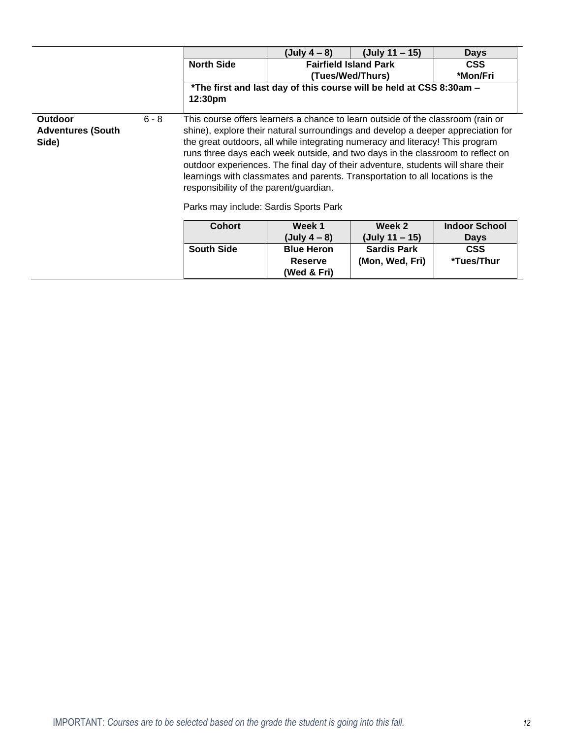|                                              |         |                                                                                                                                                                                                                                                                                                                                                                                                                                                                                                                                                                                                | (July $4 - 8$ )                                                     | (July 11 – 15)     | <b>Days</b> |
|----------------------------------------------|---------|------------------------------------------------------------------------------------------------------------------------------------------------------------------------------------------------------------------------------------------------------------------------------------------------------------------------------------------------------------------------------------------------------------------------------------------------------------------------------------------------------------------------------------------------------------------------------------------------|---------------------------------------------------------------------|--------------------|-------------|
|                                              |         | <b>North Side</b>                                                                                                                                                                                                                                                                                                                                                                                                                                                                                                                                                                              | <b>Fairfield Island Park</b><br><b>CSS</b>                          |                    |             |
|                                              |         |                                                                                                                                                                                                                                                                                                                                                                                                                                                                                                                                                                                                |                                                                     | (Tues/Wed/Thurs)   | *Mon/Fri    |
|                                              |         |                                                                                                                                                                                                                                                                                                                                                                                                                                                                                                                                                                                                | *The first and last day of this course will be held at CSS 8:30am - |                    |             |
|                                              |         | 12:30 <sub>pm</sub>                                                                                                                                                                                                                                                                                                                                                                                                                                                                                                                                                                            |                                                                     |                    |             |
|                                              |         |                                                                                                                                                                                                                                                                                                                                                                                                                                                                                                                                                                                                |                                                                     |                    |             |
| Outdoor<br><b>Adventures (South</b><br>Side) | $6 - 8$ | This course offers learners a chance to learn outside of the classroom (rain or<br>shine), explore their natural surroundings and develop a deeper appreciation for<br>the great outdoors, all while integrating numeracy and literacy! This program<br>runs three days each week outside, and two days in the classroom to reflect on<br>outdoor experiences. The final day of their adventure, students will share their<br>learnings with classmates and parents. Transportation to all locations is the<br>responsibility of the parent/guardian.<br>Parks may include: Sardis Sports Park |                                                                     |                    |             |
|                                              |         | <b>Indoor School</b><br><b>Cohort</b><br>Week 1<br>Week 2                                                                                                                                                                                                                                                                                                                                                                                                                                                                                                                                      |                                                                     |                    |             |
|                                              |         |                                                                                                                                                                                                                                                                                                                                                                                                                                                                                                                                                                                                | (July $4 - 8$ )                                                     | (July 11 – 15)     | <b>Days</b> |
|                                              |         | <b>South Side</b>                                                                                                                                                                                                                                                                                                                                                                                                                                                                                                                                                                              | <b>Blue Heron</b>                                                   | <b>Sardis Park</b> | <b>CSS</b>  |
|                                              |         |                                                                                                                                                                                                                                                                                                                                                                                                                                                                                                                                                                                                | <b>Reserve</b>                                                      | (Mon, Wed, Fri)    | *Tues/Thur  |

**(Wed & Fri)**